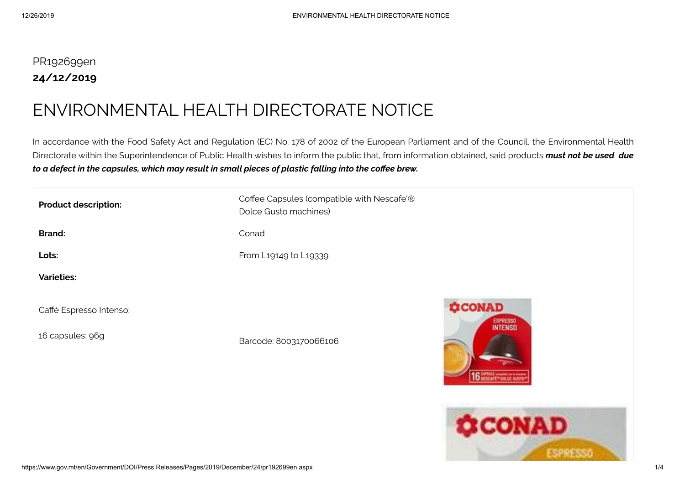## PR192699en **24/12/2019**

## ENVIRONMENTAL HEALTH DIRECTORATE NOTICE

In accordance with the Food Safety Act and Regulation (EC) No. 178 of 2002 of the European Parliament and of the Council, the Environmental Health Directorate within the Superintendence of Public Health wishes to inform the public that, from information obtained, said products *must not be used due* to a defect in the capsules, which may result in small pieces of plastic falling into the coffee brew.

| <b>Product description:</b>                 | Coffee Capsules (compatible with Nescafe'®<br>Dolce Gusto machines) |                                                                              |
|---------------------------------------------|---------------------------------------------------------------------|------------------------------------------------------------------------------|
| <b>Brand:</b>                               | Conad                                                               |                                                                              |
| Lots:                                       | From L19149 to L19339                                               |                                                                              |
| <b>Varieties:</b>                           |                                                                     |                                                                              |
| Caffè Espresso Intenso:<br>16 capsules; 96g | Barcode: 8003170066106                                              | <b>CONAD</b><br><b>ESPRESSO</b><br><b>INTENSO</b><br>16 SMERAL - DOLCE GUSTO |
|                                             |                                                                     | <b>CONAD</b><br><b><i>CONTINUES OF PERSONS AND RESIDENCES</i></b>            |

*CHANNEL MORRIS*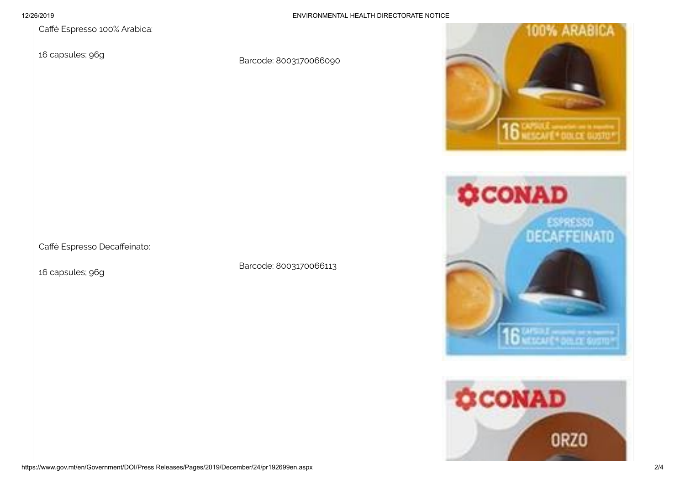Caffè Espresso 100% Arabica:

16 capsules; 96g

Barcode: 8003170066090



16 capsules; 96g

Barcode: 8003170066113





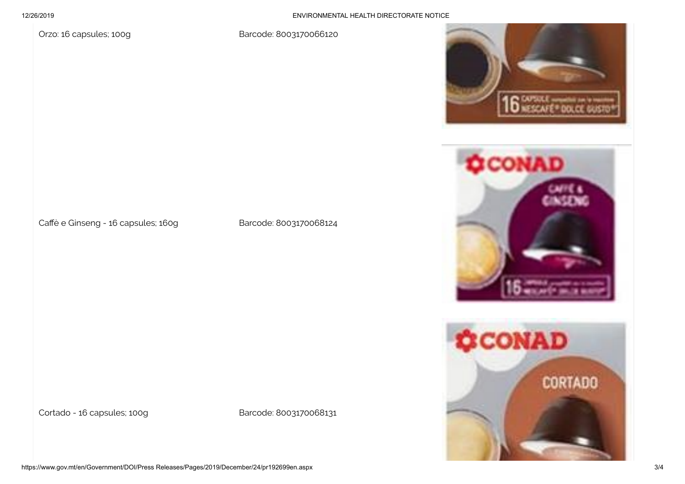12/26/2019 ENVIRONMENTAL HEALTH DIRECTORATE NOTICE

Orzo: 16 capsules; 100g Barcode: 8003170066120



Cortado - 16 capsules; 100g Barcode: 8003170068131